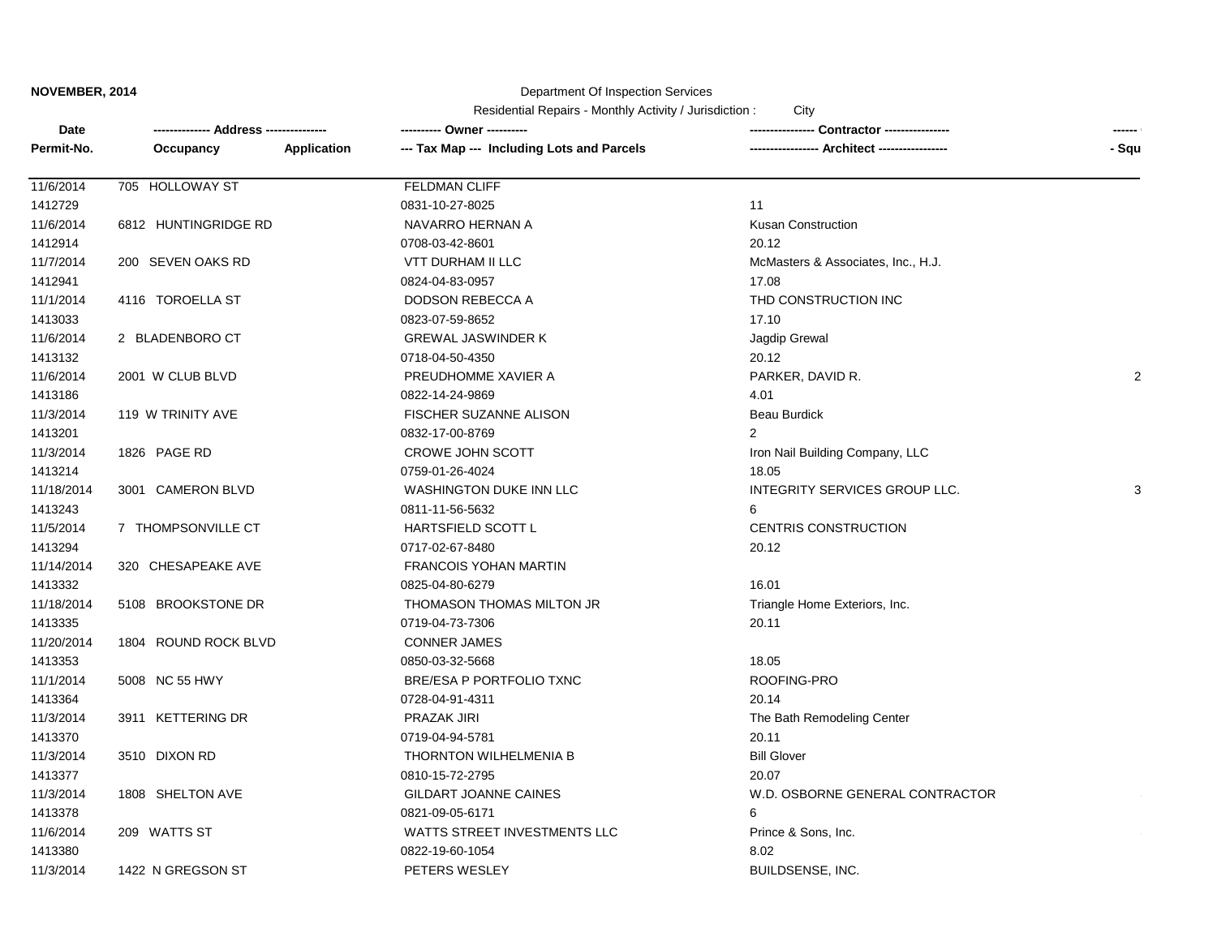#### Department Of Inspection Services

| --- Tax Map --- Including Lots and Parcels<br>- Squ<br>Permit-No.<br>Application<br>--- Architect -----------------<br>Occupancy<br><b>FELDMAN CLIFF</b><br>11/6/2014<br>705 HOLLOWAY ST<br>1412729<br>0831-10-27-8025<br>11<br>11/6/2014<br>6812 HUNTINGRIDGE RD<br><b>Kusan Construction</b><br>NAVARRO HERNAN A<br>1412914<br>0708-03-42-8601<br>20.12<br>11/7/2014<br><b>VTT DURHAM II LLC</b><br>200 SEVEN OAKS RD<br>McMasters & Associates, Inc., H.J.<br>17.08<br>1412941<br>0824-04-83-0957<br>11/1/2014<br>4116 TOROELLA ST<br>DODSON REBECCA A<br>THD CONSTRUCTION INC<br>17.10<br>1413033<br>0823-07-59-8652<br>11/6/2014<br><b>GREWAL JASWINDER K</b><br>2 BLADENBORO CT<br>Jagdip Grewal<br>1413132<br>0718-04-50-4350<br>20.12<br>11/6/2014<br>2001 W CLUB BLVD<br>PREUDHOMME XAVIER A<br>PARKER, DAVID R.<br>2<br>1413186<br>0822-14-24-9869<br>4.01<br>11/3/2014<br>119 W TRINITY AVE<br><b>FISCHER SUZANNE ALISON</b><br><b>Beau Burdick</b><br>1413201<br>0832-17-00-8769<br>$\overline{2}$<br>11/3/2014<br>1826 PAGE RD<br>CROWE JOHN SCOTT<br>Iron Nail Building Company, LLC<br>1413214<br>0759-01-26-4024<br>18.05<br>11/18/2014<br>WASHINGTON DUKE INN LLC<br>INTEGRITY SERVICES GROUP LLC.<br>3001 CAMERON BLVD<br>3<br>1413243<br>0811-11-56-5632<br>6<br>11/5/2014<br>7 THOMPSONVILLE CT<br>HARTSFIELD SCOTT L<br><b>CENTRIS CONSTRUCTION</b><br>1413294<br>0717-02-67-8480<br>20.12<br>11/14/2014<br>320 CHESAPEAKE AVE<br><b>FRANCOIS YOHAN MARTIN</b><br>1413332<br>0825-04-80-6279<br>16.01<br>11/18/2014<br>5108 BROOKSTONE DR<br>THOMASON THOMAS MILTON JR<br>Triangle Home Exteriors, Inc.<br>1413335<br>0719-04-73-7306<br>20.11<br>11/20/2014<br>1804 ROUND ROCK BLVD<br><b>CONNER JAMES</b><br>18.05<br>1413353<br>0850-03-32-5668<br>11/1/2014<br>5008 NC 55 HWY<br>BRE/ESA P PORTFOLIO TXNC<br>ROOFING-PRO<br>20.14<br>1413364<br>0728-04-91-4311<br>11/3/2014<br>3911 KETTERING DR<br><b>PRAZAK JIRI</b><br>The Bath Remodeling Center<br>1413370<br>20.11<br>0719-04-94-5781<br><b>Bill Glover</b><br>11/3/2014<br>3510 DIXON RD<br>THORNTON WILHELMENIA B<br>1413377<br>0810-15-72-2795<br>20.07<br>11/3/2014<br>1808 SHELTON AVE<br>GILDART JOANNE CAINES<br>W.D. OSBORNE GENERAL CONTRACTOR<br>1413378<br>0821-09-05-6171<br>6<br>11/6/2014<br>WATTS STREET INVESTMENTS LLC<br>209 WATTS ST<br>Prince & Sons, Inc. | Date    |  |                 |      | ------ |
|----------------------------------------------------------------------------------------------------------------------------------------------------------------------------------------------------------------------------------------------------------------------------------------------------------------------------------------------------------------------------------------------------------------------------------------------------------------------------------------------------------------------------------------------------------------------------------------------------------------------------------------------------------------------------------------------------------------------------------------------------------------------------------------------------------------------------------------------------------------------------------------------------------------------------------------------------------------------------------------------------------------------------------------------------------------------------------------------------------------------------------------------------------------------------------------------------------------------------------------------------------------------------------------------------------------------------------------------------------------------------------------------------------------------------------------------------------------------------------------------------------------------------------------------------------------------------------------------------------------------------------------------------------------------------------------------------------------------------------------------------------------------------------------------------------------------------------------------------------------------------------------------------------------------------------------------------------------------------------------------------------------------------------------------------------------------------------------------------------------------------------------------------------------------------------------------------------------------------------------------------------------------------------------------------------------------------------------------------------------|---------|--|-----------------|------|--------|
|                                                                                                                                                                                                                                                                                                                                                                                                                                                                                                                                                                                                                                                                                                                                                                                                                                                                                                                                                                                                                                                                                                                                                                                                                                                                                                                                                                                                                                                                                                                                                                                                                                                                                                                                                                                                                                                                                                                                                                                                                                                                                                                                                                                                                                                                                                                                                                |         |  |                 |      |        |
|                                                                                                                                                                                                                                                                                                                                                                                                                                                                                                                                                                                                                                                                                                                                                                                                                                                                                                                                                                                                                                                                                                                                                                                                                                                                                                                                                                                                                                                                                                                                                                                                                                                                                                                                                                                                                                                                                                                                                                                                                                                                                                                                                                                                                                                                                                                                                                |         |  |                 |      |        |
|                                                                                                                                                                                                                                                                                                                                                                                                                                                                                                                                                                                                                                                                                                                                                                                                                                                                                                                                                                                                                                                                                                                                                                                                                                                                                                                                                                                                                                                                                                                                                                                                                                                                                                                                                                                                                                                                                                                                                                                                                                                                                                                                                                                                                                                                                                                                                                |         |  |                 |      |        |
|                                                                                                                                                                                                                                                                                                                                                                                                                                                                                                                                                                                                                                                                                                                                                                                                                                                                                                                                                                                                                                                                                                                                                                                                                                                                                                                                                                                                                                                                                                                                                                                                                                                                                                                                                                                                                                                                                                                                                                                                                                                                                                                                                                                                                                                                                                                                                                |         |  |                 |      |        |
|                                                                                                                                                                                                                                                                                                                                                                                                                                                                                                                                                                                                                                                                                                                                                                                                                                                                                                                                                                                                                                                                                                                                                                                                                                                                                                                                                                                                                                                                                                                                                                                                                                                                                                                                                                                                                                                                                                                                                                                                                                                                                                                                                                                                                                                                                                                                                                |         |  |                 |      |        |
|                                                                                                                                                                                                                                                                                                                                                                                                                                                                                                                                                                                                                                                                                                                                                                                                                                                                                                                                                                                                                                                                                                                                                                                                                                                                                                                                                                                                                                                                                                                                                                                                                                                                                                                                                                                                                                                                                                                                                                                                                                                                                                                                                                                                                                                                                                                                                                |         |  |                 |      |        |
|                                                                                                                                                                                                                                                                                                                                                                                                                                                                                                                                                                                                                                                                                                                                                                                                                                                                                                                                                                                                                                                                                                                                                                                                                                                                                                                                                                                                                                                                                                                                                                                                                                                                                                                                                                                                                                                                                                                                                                                                                                                                                                                                                                                                                                                                                                                                                                |         |  |                 |      |        |
|                                                                                                                                                                                                                                                                                                                                                                                                                                                                                                                                                                                                                                                                                                                                                                                                                                                                                                                                                                                                                                                                                                                                                                                                                                                                                                                                                                                                                                                                                                                                                                                                                                                                                                                                                                                                                                                                                                                                                                                                                                                                                                                                                                                                                                                                                                                                                                |         |  |                 |      |        |
|                                                                                                                                                                                                                                                                                                                                                                                                                                                                                                                                                                                                                                                                                                                                                                                                                                                                                                                                                                                                                                                                                                                                                                                                                                                                                                                                                                                                                                                                                                                                                                                                                                                                                                                                                                                                                                                                                                                                                                                                                                                                                                                                                                                                                                                                                                                                                                |         |  |                 |      |        |
|                                                                                                                                                                                                                                                                                                                                                                                                                                                                                                                                                                                                                                                                                                                                                                                                                                                                                                                                                                                                                                                                                                                                                                                                                                                                                                                                                                                                                                                                                                                                                                                                                                                                                                                                                                                                                                                                                                                                                                                                                                                                                                                                                                                                                                                                                                                                                                |         |  |                 |      |        |
|                                                                                                                                                                                                                                                                                                                                                                                                                                                                                                                                                                                                                                                                                                                                                                                                                                                                                                                                                                                                                                                                                                                                                                                                                                                                                                                                                                                                                                                                                                                                                                                                                                                                                                                                                                                                                                                                                                                                                                                                                                                                                                                                                                                                                                                                                                                                                                |         |  |                 |      |        |
|                                                                                                                                                                                                                                                                                                                                                                                                                                                                                                                                                                                                                                                                                                                                                                                                                                                                                                                                                                                                                                                                                                                                                                                                                                                                                                                                                                                                                                                                                                                                                                                                                                                                                                                                                                                                                                                                                                                                                                                                                                                                                                                                                                                                                                                                                                                                                                |         |  |                 |      |        |
|                                                                                                                                                                                                                                                                                                                                                                                                                                                                                                                                                                                                                                                                                                                                                                                                                                                                                                                                                                                                                                                                                                                                                                                                                                                                                                                                                                                                                                                                                                                                                                                                                                                                                                                                                                                                                                                                                                                                                                                                                                                                                                                                                                                                                                                                                                                                                                |         |  |                 |      |        |
|                                                                                                                                                                                                                                                                                                                                                                                                                                                                                                                                                                                                                                                                                                                                                                                                                                                                                                                                                                                                                                                                                                                                                                                                                                                                                                                                                                                                                                                                                                                                                                                                                                                                                                                                                                                                                                                                                                                                                                                                                                                                                                                                                                                                                                                                                                                                                                |         |  |                 |      |        |
|                                                                                                                                                                                                                                                                                                                                                                                                                                                                                                                                                                                                                                                                                                                                                                                                                                                                                                                                                                                                                                                                                                                                                                                                                                                                                                                                                                                                                                                                                                                                                                                                                                                                                                                                                                                                                                                                                                                                                                                                                                                                                                                                                                                                                                                                                                                                                                |         |  |                 |      |        |
|                                                                                                                                                                                                                                                                                                                                                                                                                                                                                                                                                                                                                                                                                                                                                                                                                                                                                                                                                                                                                                                                                                                                                                                                                                                                                                                                                                                                                                                                                                                                                                                                                                                                                                                                                                                                                                                                                                                                                                                                                                                                                                                                                                                                                                                                                                                                                                |         |  |                 |      |        |
|                                                                                                                                                                                                                                                                                                                                                                                                                                                                                                                                                                                                                                                                                                                                                                                                                                                                                                                                                                                                                                                                                                                                                                                                                                                                                                                                                                                                                                                                                                                                                                                                                                                                                                                                                                                                                                                                                                                                                                                                                                                                                                                                                                                                                                                                                                                                                                |         |  |                 |      |        |
|                                                                                                                                                                                                                                                                                                                                                                                                                                                                                                                                                                                                                                                                                                                                                                                                                                                                                                                                                                                                                                                                                                                                                                                                                                                                                                                                                                                                                                                                                                                                                                                                                                                                                                                                                                                                                                                                                                                                                                                                                                                                                                                                                                                                                                                                                                                                                                |         |  |                 |      |        |
|                                                                                                                                                                                                                                                                                                                                                                                                                                                                                                                                                                                                                                                                                                                                                                                                                                                                                                                                                                                                                                                                                                                                                                                                                                                                                                                                                                                                                                                                                                                                                                                                                                                                                                                                                                                                                                                                                                                                                                                                                                                                                                                                                                                                                                                                                                                                                                |         |  |                 |      |        |
|                                                                                                                                                                                                                                                                                                                                                                                                                                                                                                                                                                                                                                                                                                                                                                                                                                                                                                                                                                                                                                                                                                                                                                                                                                                                                                                                                                                                                                                                                                                                                                                                                                                                                                                                                                                                                                                                                                                                                                                                                                                                                                                                                                                                                                                                                                                                                                |         |  |                 |      |        |
|                                                                                                                                                                                                                                                                                                                                                                                                                                                                                                                                                                                                                                                                                                                                                                                                                                                                                                                                                                                                                                                                                                                                                                                                                                                                                                                                                                                                                                                                                                                                                                                                                                                                                                                                                                                                                                                                                                                                                                                                                                                                                                                                                                                                                                                                                                                                                                |         |  |                 |      |        |
|                                                                                                                                                                                                                                                                                                                                                                                                                                                                                                                                                                                                                                                                                                                                                                                                                                                                                                                                                                                                                                                                                                                                                                                                                                                                                                                                                                                                                                                                                                                                                                                                                                                                                                                                                                                                                                                                                                                                                                                                                                                                                                                                                                                                                                                                                                                                                                |         |  |                 |      |        |
|                                                                                                                                                                                                                                                                                                                                                                                                                                                                                                                                                                                                                                                                                                                                                                                                                                                                                                                                                                                                                                                                                                                                                                                                                                                                                                                                                                                                                                                                                                                                                                                                                                                                                                                                                                                                                                                                                                                                                                                                                                                                                                                                                                                                                                                                                                                                                                |         |  |                 |      |        |
|                                                                                                                                                                                                                                                                                                                                                                                                                                                                                                                                                                                                                                                                                                                                                                                                                                                                                                                                                                                                                                                                                                                                                                                                                                                                                                                                                                                                                                                                                                                                                                                                                                                                                                                                                                                                                                                                                                                                                                                                                                                                                                                                                                                                                                                                                                                                                                |         |  |                 |      |        |
|                                                                                                                                                                                                                                                                                                                                                                                                                                                                                                                                                                                                                                                                                                                                                                                                                                                                                                                                                                                                                                                                                                                                                                                                                                                                                                                                                                                                                                                                                                                                                                                                                                                                                                                                                                                                                                                                                                                                                                                                                                                                                                                                                                                                                                                                                                                                                                |         |  |                 |      |        |
|                                                                                                                                                                                                                                                                                                                                                                                                                                                                                                                                                                                                                                                                                                                                                                                                                                                                                                                                                                                                                                                                                                                                                                                                                                                                                                                                                                                                                                                                                                                                                                                                                                                                                                                                                                                                                                                                                                                                                                                                                                                                                                                                                                                                                                                                                                                                                                |         |  |                 |      |        |
|                                                                                                                                                                                                                                                                                                                                                                                                                                                                                                                                                                                                                                                                                                                                                                                                                                                                                                                                                                                                                                                                                                                                                                                                                                                                                                                                                                                                                                                                                                                                                                                                                                                                                                                                                                                                                                                                                                                                                                                                                                                                                                                                                                                                                                                                                                                                                                |         |  |                 |      |        |
|                                                                                                                                                                                                                                                                                                                                                                                                                                                                                                                                                                                                                                                                                                                                                                                                                                                                                                                                                                                                                                                                                                                                                                                                                                                                                                                                                                                                                                                                                                                                                                                                                                                                                                                                                                                                                                                                                                                                                                                                                                                                                                                                                                                                                                                                                                                                                                |         |  |                 |      |        |
|                                                                                                                                                                                                                                                                                                                                                                                                                                                                                                                                                                                                                                                                                                                                                                                                                                                                                                                                                                                                                                                                                                                                                                                                                                                                                                                                                                                                                                                                                                                                                                                                                                                                                                                                                                                                                                                                                                                                                                                                                                                                                                                                                                                                                                                                                                                                                                |         |  |                 |      |        |
|                                                                                                                                                                                                                                                                                                                                                                                                                                                                                                                                                                                                                                                                                                                                                                                                                                                                                                                                                                                                                                                                                                                                                                                                                                                                                                                                                                                                                                                                                                                                                                                                                                                                                                                                                                                                                                                                                                                                                                                                                                                                                                                                                                                                                                                                                                                                                                |         |  |                 |      |        |
|                                                                                                                                                                                                                                                                                                                                                                                                                                                                                                                                                                                                                                                                                                                                                                                                                                                                                                                                                                                                                                                                                                                                                                                                                                                                                                                                                                                                                                                                                                                                                                                                                                                                                                                                                                                                                                                                                                                                                                                                                                                                                                                                                                                                                                                                                                                                                                |         |  |                 |      |        |
|                                                                                                                                                                                                                                                                                                                                                                                                                                                                                                                                                                                                                                                                                                                                                                                                                                                                                                                                                                                                                                                                                                                                                                                                                                                                                                                                                                                                                                                                                                                                                                                                                                                                                                                                                                                                                                                                                                                                                                                                                                                                                                                                                                                                                                                                                                                                                                |         |  |                 |      |        |
|                                                                                                                                                                                                                                                                                                                                                                                                                                                                                                                                                                                                                                                                                                                                                                                                                                                                                                                                                                                                                                                                                                                                                                                                                                                                                                                                                                                                                                                                                                                                                                                                                                                                                                                                                                                                                                                                                                                                                                                                                                                                                                                                                                                                                                                                                                                                                                |         |  |                 |      |        |
|                                                                                                                                                                                                                                                                                                                                                                                                                                                                                                                                                                                                                                                                                                                                                                                                                                                                                                                                                                                                                                                                                                                                                                                                                                                                                                                                                                                                                                                                                                                                                                                                                                                                                                                                                                                                                                                                                                                                                                                                                                                                                                                                                                                                                                                                                                                                                                |         |  |                 |      |        |
|                                                                                                                                                                                                                                                                                                                                                                                                                                                                                                                                                                                                                                                                                                                                                                                                                                                                                                                                                                                                                                                                                                                                                                                                                                                                                                                                                                                                                                                                                                                                                                                                                                                                                                                                                                                                                                                                                                                                                                                                                                                                                                                                                                                                                                                                                                                                                                |         |  |                 |      |        |
|                                                                                                                                                                                                                                                                                                                                                                                                                                                                                                                                                                                                                                                                                                                                                                                                                                                                                                                                                                                                                                                                                                                                                                                                                                                                                                                                                                                                                                                                                                                                                                                                                                                                                                                                                                                                                                                                                                                                                                                                                                                                                                                                                                                                                                                                                                                                                                |         |  |                 |      |        |
|                                                                                                                                                                                                                                                                                                                                                                                                                                                                                                                                                                                                                                                                                                                                                                                                                                                                                                                                                                                                                                                                                                                                                                                                                                                                                                                                                                                                                                                                                                                                                                                                                                                                                                                                                                                                                                                                                                                                                                                                                                                                                                                                                                                                                                                                                                                                                                | 1413380 |  | 0822-19-60-1054 | 8.02 |        |
| 11/3/2014<br>PETERS WESLEY<br>1422 N GREGSON ST<br><b>BUILDSENSE, INC.</b>                                                                                                                                                                                                                                                                                                                                                                                                                                                                                                                                                                                                                                                                                                                                                                                                                                                                                                                                                                                                                                                                                                                                                                                                                                                                                                                                                                                                                                                                                                                                                                                                                                                                                                                                                                                                                                                                                                                                                                                                                                                                                                                                                                                                                                                                                     |         |  |                 |      |        |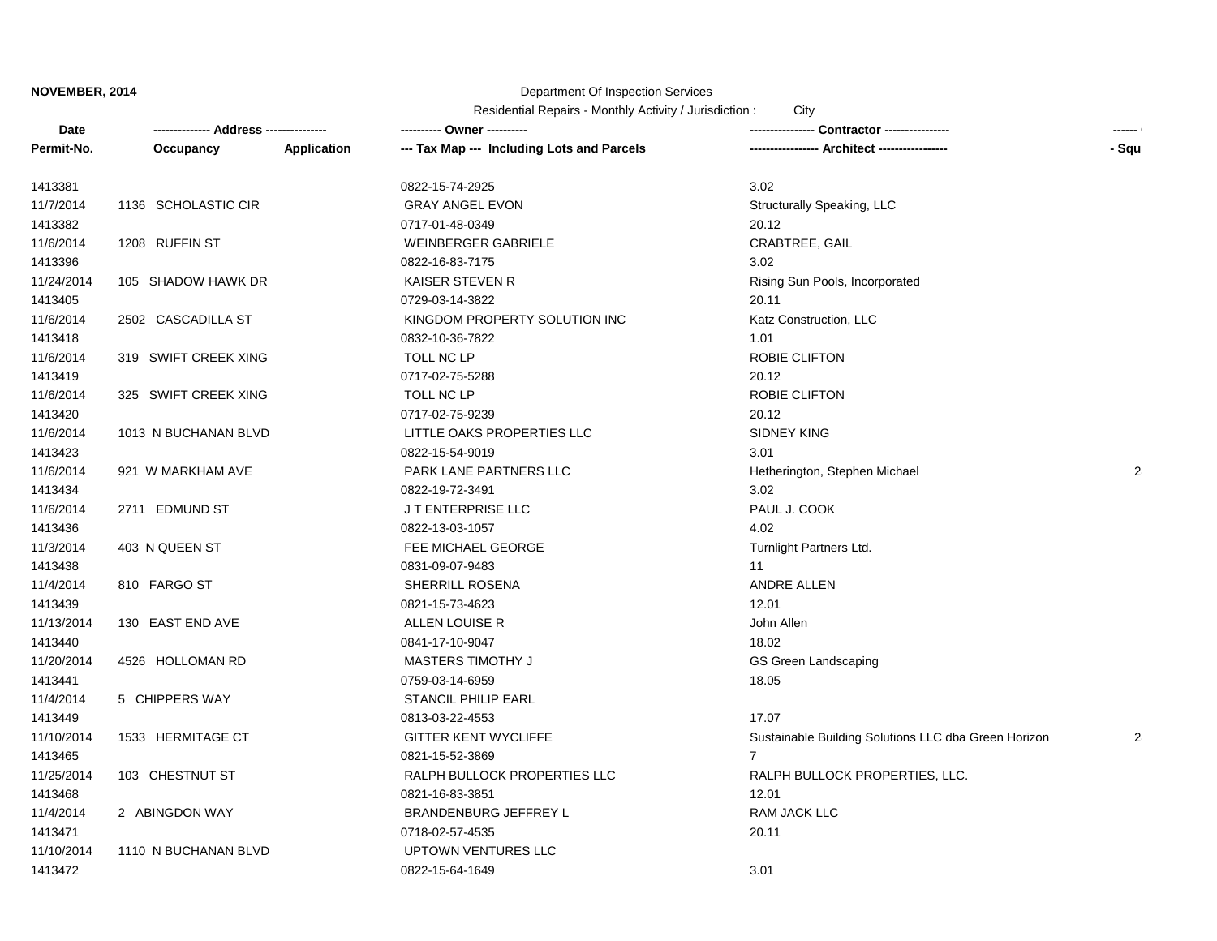## Department Of Inspection Services

| Date       |                      |             | ---------- Owner ----------                |                                                      | ------         |
|------------|----------------------|-------------|--------------------------------------------|------------------------------------------------------|----------------|
| Permit-No. | Occupancy            | Application | --- Tax Map --- Including Lots and Parcels | -- Architect -----------------                       | - Squ          |
| 1413381    |                      |             | 0822-15-74-2925                            | 3.02                                                 |                |
| 11/7/2014  | 1136 SCHOLASTIC CIR  |             | <b>GRAY ANGEL EVON</b>                     | Structurally Speaking, LLC                           |                |
| 1413382    |                      |             | 0717-01-48-0349                            | 20.12                                                |                |
| 11/6/2014  | 1208 RUFFIN ST       |             | <b>WEINBERGER GABRIELE</b>                 | <b>CRABTREE, GAIL</b>                                |                |
| 1413396    |                      |             | 0822-16-83-7175                            | 3.02                                                 |                |
| 11/24/2014 | 105 SHADOW HAWK DR   |             | <b>KAISER STEVEN R</b>                     | Rising Sun Pools, Incorporated                       |                |
| 1413405    |                      |             | 0729-03-14-3822                            | 20.11                                                |                |
| 11/6/2014  | 2502 CASCADILLA ST   |             | KINGDOM PROPERTY SOLUTION INC              | Katz Construction, LLC                               |                |
| 1413418    |                      |             | 0832-10-36-7822                            | 1.01                                                 |                |
| 11/6/2014  | 319 SWIFT CREEK XING |             | TOLL NC LP                                 | ROBIE CLIFTON                                        |                |
| 1413419    |                      |             | 0717-02-75-5288                            | 20.12                                                |                |
| 11/6/2014  | 325 SWIFT CREEK XING |             | TOLL NC LP                                 | ROBIE CLIFTON                                        |                |
| 1413420    |                      |             | 0717-02-75-9239                            | 20.12                                                |                |
| 11/6/2014  | 1013 N BUCHANAN BLVD |             | LITTLE OAKS PROPERTIES LLC                 | <b>SIDNEY KING</b>                                   |                |
| 1413423    |                      |             | 0822-15-54-9019                            | 3.01                                                 |                |
| 11/6/2014  | 921 W MARKHAM AVE    |             | PARK LANE PARTNERS LLC                     | Hetherington, Stephen Michael                        | $\overline{2}$ |
| 1413434    |                      |             | 0822-19-72-3491                            | 3.02                                                 |                |
| 11/6/2014  | 2711 EDMUND ST       |             | J T ENTERPRISE LLC                         | PAUL J. COOK                                         |                |
| 1413436    |                      |             | 0822-13-03-1057                            | 4.02                                                 |                |
| 11/3/2014  | 403 N QUEEN ST       |             | FEE MICHAEL GEORGE                         | Turnlight Partners Ltd.                              |                |
| 1413438    |                      |             | 0831-09-07-9483                            | 11                                                   |                |
| 11/4/2014  | 810 FARGO ST         |             | SHERRILL ROSENA                            | ANDRE ALLEN                                          |                |
| 1413439    |                      |             | 0821-15-73-4623                            | 12.01                                                |                |
| 11/13/2014 | 130 EAST END AVE     |             | ALLEN LOUISE R                             | John Allen                                           |                |
| 1413440    |                      |             | 0841-17-10-9047                            | 18.02                                                |                |
| 11/20/2014 | 4526 HOLLOMAN RD     |             | MASTERS TIMOTHY J                          | GS Green Landscaping                                 |                |
| 1413441    |                      |             | 0759-03-14-6959                            | 18.05                                                |                |
| 11/4/2014  | 5 CHIPPERS WAY       |             | STANCIL PHILIP EARL                        |                                                      |                |
| 1413449    |                      |             | 0813-03-22-4553                            | 17.07                                                |                |
| 11/10/2014 | 1533 HERMITAGE CT    |             | <b>GITTER KENT WYCLIFFE</b>                | Sustainable Building Solutions LLC dba Green Horizon | 2              |
| 1413465    |                      |             | 0821-15-52-3869                            | $\overline{7}$                                       |                |
| 11/25/2014 | 103 CHESTNUT ST      |             | RALPH BULLOCK PROPERTIES LLC               | RALPH BULLOCK PROPERTIES, LLC.                       |                |
| 1413468    |                      |             | 0821-16-83-3851                            | 12.01                                                |                |
| 11/4/2014  | 2 ABINGDON WAY       |             | BRANDENBURG JEFFREY L                      | RAM JACK LLC                                         |                |
| 1413471    |                      |             | 0718-02-57-4535                            | 20.11                                                |                |
| 11/10/2014 | 1110 N BUCHANAN BLVD |             | UPTOWN VENTURES LLC                        |                                                      |                |
| 1413472    |                      |             | 0822-15-64-1649                            | 3.01                                                 |                |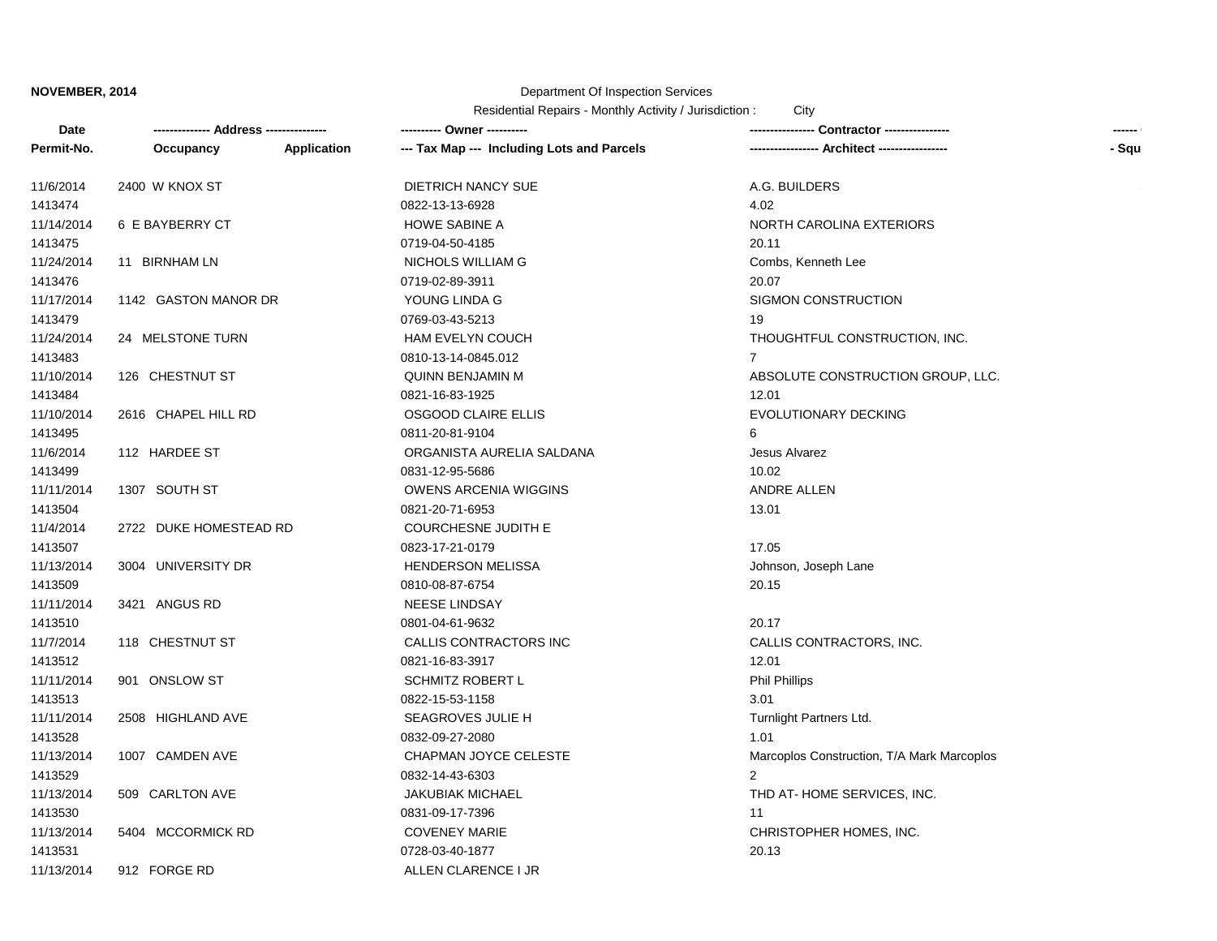# Department Of Inspection Services

| Date       |                        |                    | --------- Owner ---------                  |                                            | ------ |
|------------|------------------------|--------------------|--------------------------------------------|--------------------------------------------|--------|
| Permit-No. | Occupancy              | <b>Application</b> | --- Tax Map --- Including Lots and Parcels |                                            | - Squ  |
| 11/6/2014  | 2400 W KNOX ST         |                    | DIETRICH NANCY SUE                         | A.G. BUILDERS                              |        |
| 1413474    |                        |                    | 0822-13-13-6928                            | 4.02                                       |        |
| 11/14/2014 | 6 E BAYBERRY CT        |                    | <b>HOWE SABINE A</b>                       | NORTH CAROLINA EXTERIORS                   |        |
| 1413475    |                        |                    | 0719-04-50-4185                            | 20.11                                      |        |
| 11/24/2014 | 11 BIRNHAM LN          |                    | NICHOLS WILLIAM G                          | Combs, Kenneth Lee                         |        |
| 1413476    |                        |                    | 0719-02-89-3911                            | 20.07                                      |        |
| 11/17/2014 | 1142 GASTON MANOR DR   |                    | YOUNG LINDA G                              | SIGMON CONSTRUCTION                        |        |
| 1413479    |                        |                    | 0769-03-43-5213                            | 19                                         |        |
| 11/24/2014 | 24 MELSTONE TURN       |                    | <b>HAM EVELYN COUCH</b>                    | THOUGHTFUL CONSTRUCTION, INC.              |        |
| 1413483    |                        |                    | 0810-13-14-0845.012                        | 7                                          |        |
| 11/10/2014 | 126 CHESTNUT ST        |                    | <b>QUINN BENJAMIN M</b>                    | ABSOLUTE CONSTRUCTION GROUP, LLC.          |        |
| 1413484    |                        |                    | 0821-16-83-1925                            | 12.01                                      |        |
| 11/10/2014 | 2616 CHAPEL HILL RD    |                    | OSGOOD CLAIRE ELLIS                        | <b>EVOLUTIONARY DECKING</b>                |        |
| 1413495    |                        |                    | 0811-20-81-9104                            | 6                                          |        |
| 11/6/2014  | 112 HARDEE ST          |                    | ORGANISTA AURELIA SALDANA                  | Jesus Alvarez                              |        |
| 1413499    |                        |                    | 0831-12-95-5686                            | 10.02                                      |        |
| 11/11/2014 | 1307 SOUTH ST          |                    | OWENS ARCENIA WIGGINS                      | <b>ANDRE ALLEN</b>                         |        |
| 1413504    |                        |                    | 0821-20-71-6953                            | 13.01                                      |        |
| 11/4/2014  | 2722 DUKE HOMESTEAD RD |                    | <b>COURCHESNE JUDITH E</b>                 |                                            |        |
| 1413507    |                        |                    | 0823-17-21-0179                            | 17.05                                      |        |
| 11/13/2014 | 3004 UNIVERSITY DR     |                    | <b>HENDERSON MELISSA</b>                   | Johnson, Joseph Lane                       |        |
| 1413509    |                        |                    | 0810-08-87-6754                            | 20.15                                      |        |
| 11/11/2014 | 3421 ANGUS RD          |                    | <b>NEESE LINDSAY</b>                       |                                            |        |
| 1413510    |                        |                    | 0801-04-61-9632                            | 20.17                                      |        |
| 11/7/2014  | 118 CHESTNUT ST        |                    | CALLIS CONTRACTORS INC                     | CALLIS CONTRACTORS, INC.                   |        |
| 1413512    |                        |                    | 0821-16-83-3917                            | 12.01                                      |        |
| 11/11/2014 | 901 ONSLOW ST          |                    | <b>SCHMITZ ROBERT L</b>                    | <b>Phil Phillips</b>                       |        |
| 1413513    |                        |                    | 0822-15-53-1158                            | 3.01                                       |        |
| 11/11/2014 | 2508 HIGHLAND AVE      |                    | SEAGROVES JULIE H                          | Turnlight Partners Ltd.                    |        |
| 1413528    |                        |                    | 0832-09-27-2080                            | 1.01                                       |        |
| 11/13/2014 | 1007 CAMDEN AVE        |                    | CHAPMAN JOYCE CELESTE                      | Marcoplos Construction, T/A Mark Marcoplos |        |
| 1413529    |                        |                    | 0832-14-43-6303                            | $\overline{2}$                             |        |
| 11/13/2014 | 509 CARLTON AVE        |                    | <b>JAKUBIAK MICHAEL</b>                    | THD AT-HOME SERVICES, INC.                 |        |
| 1413530    |                        |                    | 0831-09-17-7396                            | 11                                         |        |
| 11/13/2014 | 5404 MCCORMICK RD      |                    | <b>COVENEY MARIE</b>                       | CHRISTOPHER HOMES, INC.                    |        |
| 1413531    |                        |                    | 0728-03-40-1877                            | 20.13                                      |        |
| 11/13/2014 | 912 FORGE RD           |                    | ALLEN CLARENCE I JR                        |                                            |        |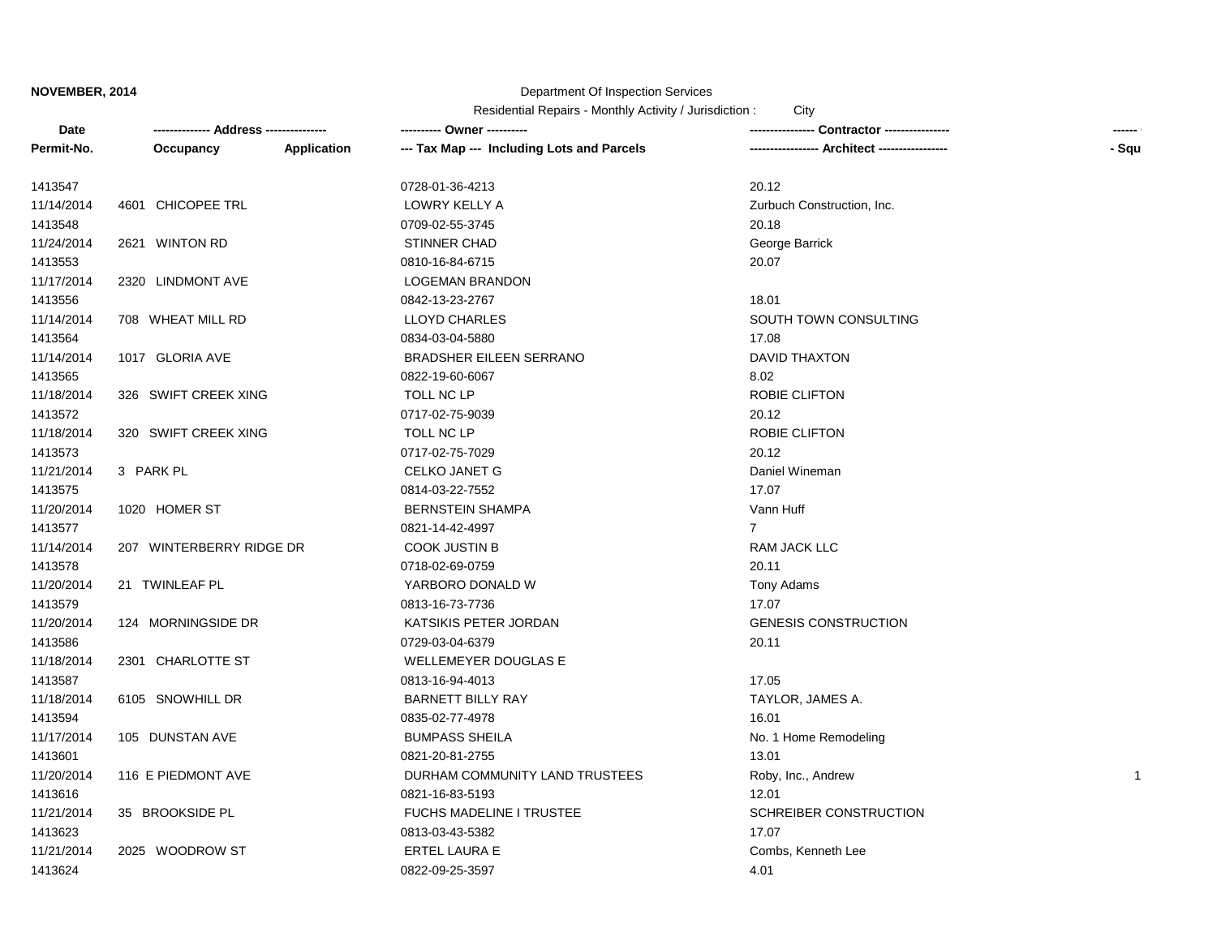# Department Of Inspection Services

| Date       |                          |             | ---------- Owner ----------                | Contractor ---------------- |              |  |
|------------|--------------------------|-------------|--------------------------------------------|-----------------------------|--------------|--|
| Permit-No. | Occupancy                | Application | --- Tax Map --- Including Lots and Parcels | Architect ----------------  | - Squ        |  |
| 1413547    |                          |             | 0728-01-36-4213                            | 20.12                       |              |  |
| 11/14/2014 | 4601 CHICOPEE TRL        |             | LOWRY KELLY A                              | Zurbuch Construction, Inc.  |              |  |
| 1413548    |                          |             | 0709-02-55-3745                            | 20.18                       |              |  |
| 11/24/2014 | 2621 WINTON RD           |             | <b>STINNER CHAD</b>                        | George Barrick              |              |  |
| 1413553    |                          |             | 0810-16-84-6715                            | 20.07                       |              |  |
| 11/17/2014 | 2320 LINDMONT AVE        |             | <b>LOGEMAN BRANDON</b>                     |                             |              |  |
| 1413556    |                          |             | 0842-13-23-2767                            | 18.01                       |              |  |
| 11/14/2014 | 708 WHEAT MILL RD        |             | <b>LLOYD CHARLES</b>                       | SOUTH TOWN CONSULTING       |              |  |
| 1413564    |                          |             | 0834-03-04-5880                            | 17.08                       |              |  |
| 11/14/2014 | 1017 GLORIA AVE          |             | <b>BRADSHER EILEEN SERRANO</b>             | <b>DAVID THAXTON</b>        |              |  |
| 1413565    |                          |             | 0822-19-60-6067                            | 8.02                        |              |  |
| 11/18/2014 | 326 SWIFT CREEK XING     |             | TOLL NC LP                                 | <b>ROBIE CLIFTON</b>        |              |  |
| 1413572    |                          |             | 0717-02-75-9039                            | 20.12                       |              |  |
| 11/18/2014 | 320 SWIFT CREEK XING     |             | TOLL NC LP                                 | <b>ROBIE CLIFTON</b>        |              |  |
| 1413573    |                          |             | 0717-02-75-7029                            | 20.12                       |              |  |
| 11/21/2014 | 3 PARK PL                |             | CELKO JANET G                              | Daniel Wineman              |              |  |
| 1413575    |                          |             | 0814-03-22-7552                            | 17.07                       |              |  |
| 11/20/2014 | 1020 HOMER ST            |             | <b>BERNSTEIN SHAMPA</b>                    | Vann Huff                   |              |  |
| 1413577    |                          |             | 0821-14-42-4997                            | $\overline{7}$              |              |  |
| 11/14/2014 | 207 WINTERBERRY RIDGE DR |             | <b>COOK JUSTIN B</b>                       | RAM JACK LLC                |              |  |
| 1413578    |                          |             | 0718-02-69-0759                            | 20.11                       |              |  |
| 11/20/2014 | 21 TWINLEAF PL           |             | YARBORO DONALD W                           | Tony Adams                  |              |  |
| 1413579    |                          |             | 0813-16-73-7736                            | 17.07                       |              |  |
| 11/20/2014 | 124 MORNINGSIDE DR       |             | KATSIKIS PETER JORDAN                      | <b>GENESIS CONSTRUCTION</b> |              |  |
| 1413586    |                          |             | 0729-03-04-6379                            | 20.11                       |              |  |
| 11/18/2014 | 2301 CHARLOTTE ST        |             | <b>WELLEMEYER DOUGLAS E</b>                |                             |              |  |
| 1413587    |                          |             | 0813-16-94-4013                            | 17.05                       |              |  |
| 11/18/2014 | 6105 SNOWHILL DR         |             | <b>BARNETT BILLY RAY</b>                   | TAYLOR, JAMES A.            |              |  |
| 1413594    |                          |             | 0835-02-77-4978                            | 16.01                       |              |  |
| 11/17/2014 | 105 DUNSTAN AVE          |             | <b>BUMPASS SHEILA</b>                      | No. 1 Home Remodeling       |              |  |
| 1413601    |                          |             | 0821-20-81-2755                            | 13.01                       |              |  |
| 11/20/2014 | 116 E PIEDMONT AVE       |             | DURHAM COMMUNITY LAND TRUSTEES             | Roby, Inc., Andrew          | $\mathbf{1}$ |  |
| 1413616    |                          |             | 0821-16-83-5193                            | 12.01                       |              |  |
| 11/21/2014 | 35 BROOKSIDE PL          |             | FUCHS MADELINE I TRUSTEE                   | SCHREIBER CONSTRUCTION      |              |  |
| 1413623    |                          |             | 0813-03-43-5382                            | 17.07                       |              |  |
| 11/21/2014 | 2025 WOODROW ST          |             | ERTEL LAURA E                              | Combs, Kenneth Lee          |              |  |
| 1413624    |                          |             | 0822-09-25-3597                            | 4.01                        |              |  |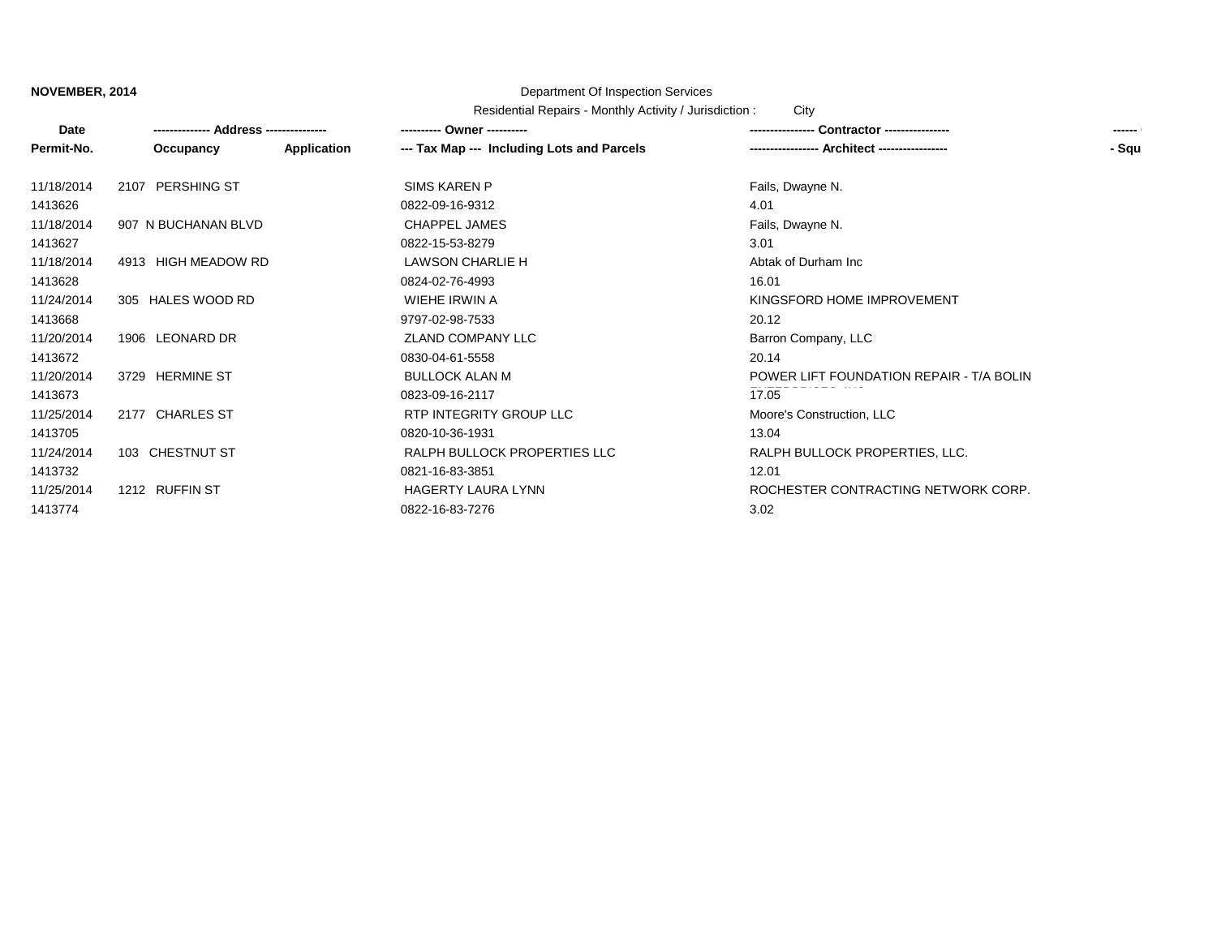# Department Of Inspection Services

| Date       |                     |             | ---------- Owner ----------                | <b>Contractor</b> ----------------       | ------ |
|------------|---------------------|-------------|--------------------------------------------|------------------------------------------|--------|
| Permit-No. | Occupancy           | Application | --- Tax Map --- Including Lots and Parcels | - Architect ----------------             | - Squ  |
| 11/18/2014 | 2107 PERSHING ST    |             | SIMS KAREN P                               | Fails, Dwayne N.                         |        |
| 1413626    |                     |             | 0822-09-16-9312                            | 4.01                                     |        |
| 11/18/2014 | 907 N BUCHANAN BLVD |             | CHAPPEL JAMES                              | Fails, Dwayne N.                         |        |
| 1413627    |                     |             | 0822-15-53-8279                            | 3.01                                     |        |
| 11/18/2014 | 4913 HIGH MEADOW RD |             | LAWSON CHARLIE H                           | Abtak of Durham Inc                      |        |
| 1413628    |                     |             | 0824-02-76-4993                            | 16.01                                    |        |
| 11/24/2014 | 305 HALES WOOD RD   |             | WIEHE IRWIN A                              | KINGSFORD HOME IMPROVEMENT               |        |
| 1413668    |                     |             | 9797-02-98-7533                            | 20.12                                    |        |
| 11/20/2014 | 1906 LEONARD DR     |             | ZLAND COMPANY LLC                          | Barron Company, LLC                      |        |
| 1413672    |                     |             | 0830-04-61-5558                            | 20.14                                    |        |
| 11/20/2014 | 3729 HERMINE ST     |             | <b>BULLOCK ALAN M</b>                      | POWER LIFT FOUNDATION REPAIR - T/A BOLIN |        |
| 1413673    |                     |             | 0823-09-16-2117                            | 17.05                                    |        |
| 11/25/2014 | 2177 CHARLES ST     |             | RTP INTEGRITY GROUP LLC                    | Moore's Construction, LLC                |        |
| 1413705    |                     |             | 0820-10-36-1931                            | 13.04                                    |        |
| 11/24/2014 | 103 CHESTNUT ST     |             | RALPH BULLOCK PROPERTIES LLC               | RALPH BULLOCK PROPERTIES, LLC.           |        |
| 1413732    |                     |             | 0821-16-83-3851                            | 12.01                                    |        |
| 11/25/2014 | 1212 RUFFIN ST      |             | HAGERTY LAURA LYNN                         | ROCHESTER CONTRACTING NETWORK CORP.      |        |
| 1413774    |                     |             | 0822-16-83-7276                            | 3.02                                     |        |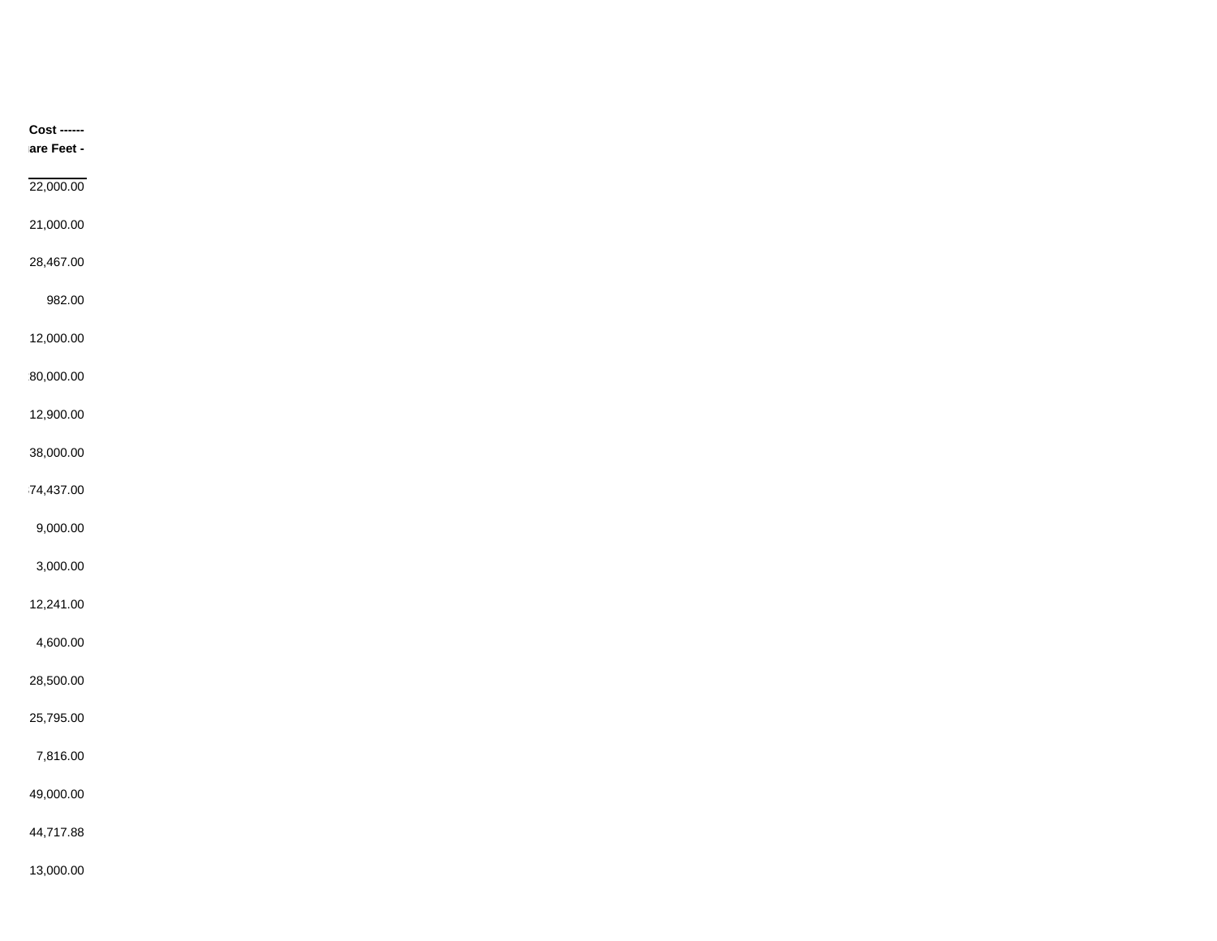| <b>Cost ------</b> |
|--------------------|
| are Feet -         |
| 22,000.00          |
|                    |
| 21,000.00          |
| 28,467.00          |
| 982.00             |
|                    |
| 12,000.00          |
| 80,000.00          |
| 12,900.00          |
|                    |
| 38,000.00          |
| 74,437.00          |
| 9,000.00           |
|                    |
| 3,000.00           |
| 12,241.00          |
| 4,600.00           |
|                    |
| 28,500.00          |
| 25,795.00          |
| 7,816.00           |
|                    |
| 49,000.00          |
| 44,717.88          |
| 13,000.00          |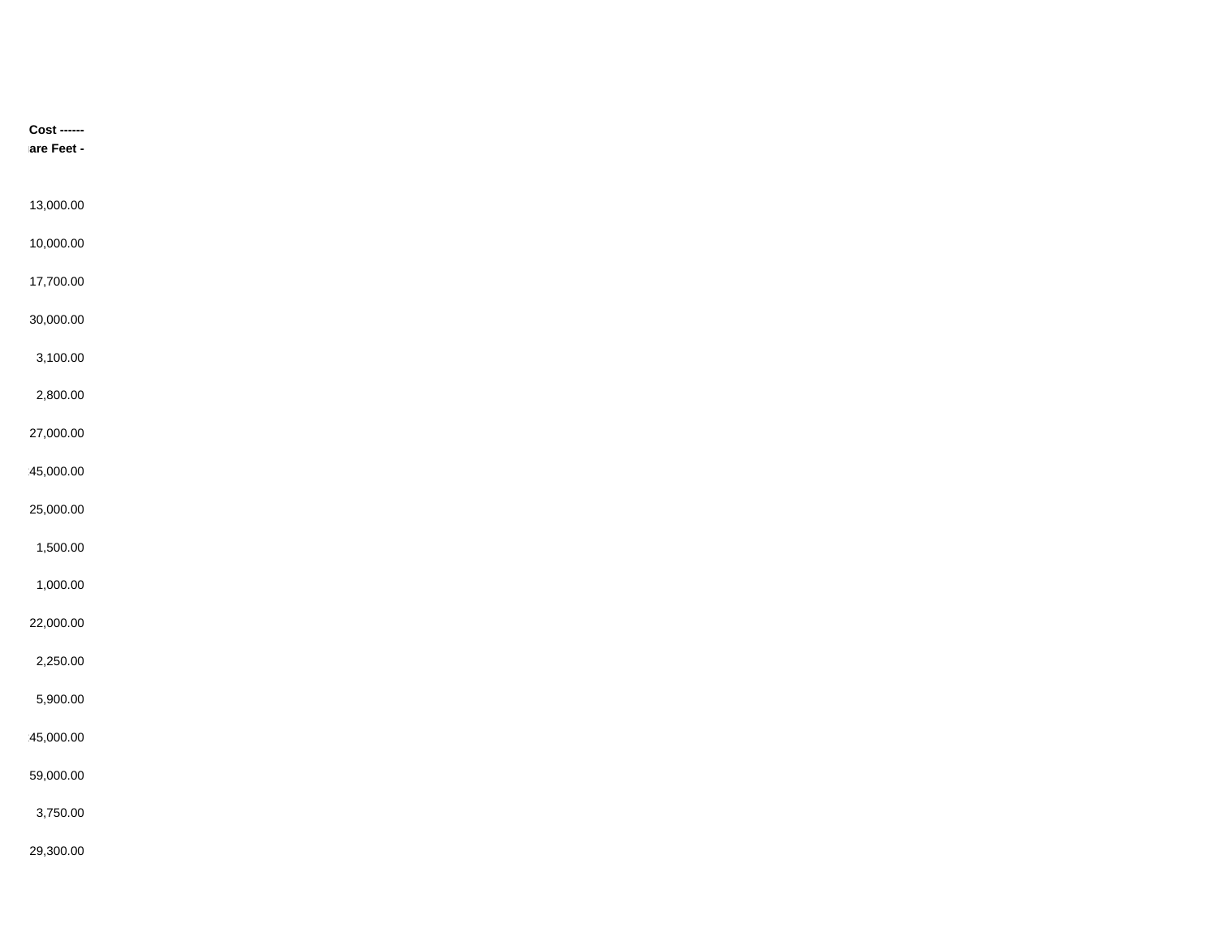| $Cost$ ------<br>are Feet - |  |  |
|-----------------------------|--|--|
| 13,000.00                   |  |  |
| 10,000.00                   |  |  |
| 17,700.00                   |  |  |
| 30,000.00                   |  |  |
| 3,100.00                    |  |  |
| 2,800.00                    |  |  |
| 27,000.00                   |  |  |
| 45,000.00                   |  |  |
| 25,000.00                   |  |  |
| 1,500.00                    |  |  |
| 1,000.00                    |  |  |
| 22,000.00                   |  |  |
| 2,250.00                    |  |  |
| 5,900.00                    |  |  |
| 45,000.00                   |  |  |
| 59,000.00                   |  |  |
| 3,750.00                    |  |  |
| 29,300.00                   |  |  |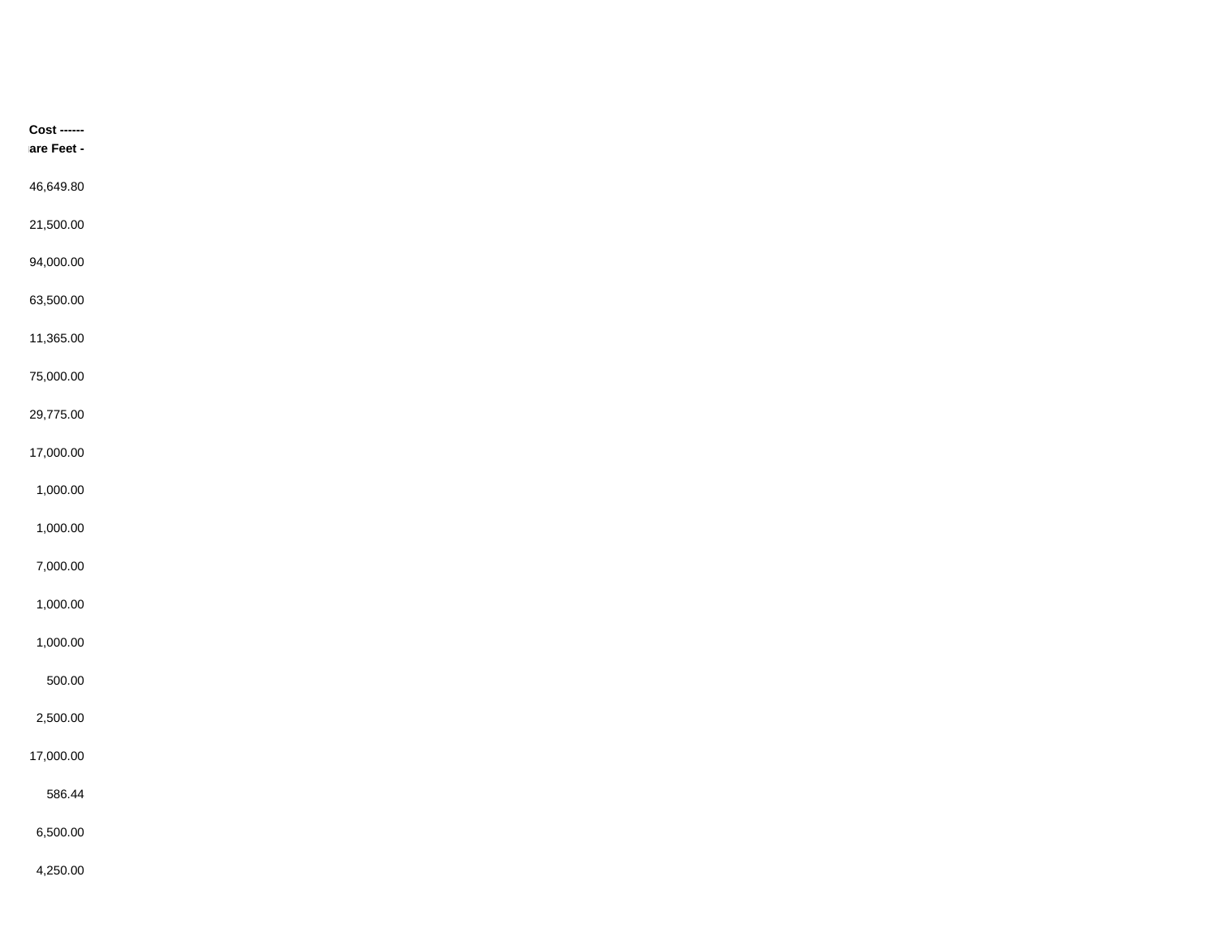| $Cost$ ------<br>are Feet - |  |
|-----------------------------|--|
| 46,649.80                   |  |
| 21,500.00                   |  |
| 94,000.00                   |  |
| 63,500.00                   |  |
| 11,365.00                   |  |
| 75,000.00                   |  |
| 29,775.00                   |  |
| 17,000.00                   |  |
| 1,000.00                    |  |
| 1,000.00                    |  |
| 7,000.00                    |  |
| 1,000.00                    |  |
| 1,000.00                    |  |
| 500.00                      |  |
| 2,500.00                    |  |
| 17,000.00                   |  |
| 586.44                      |  |
| 6,500.00                    |  |
| 4,250.00                    |  |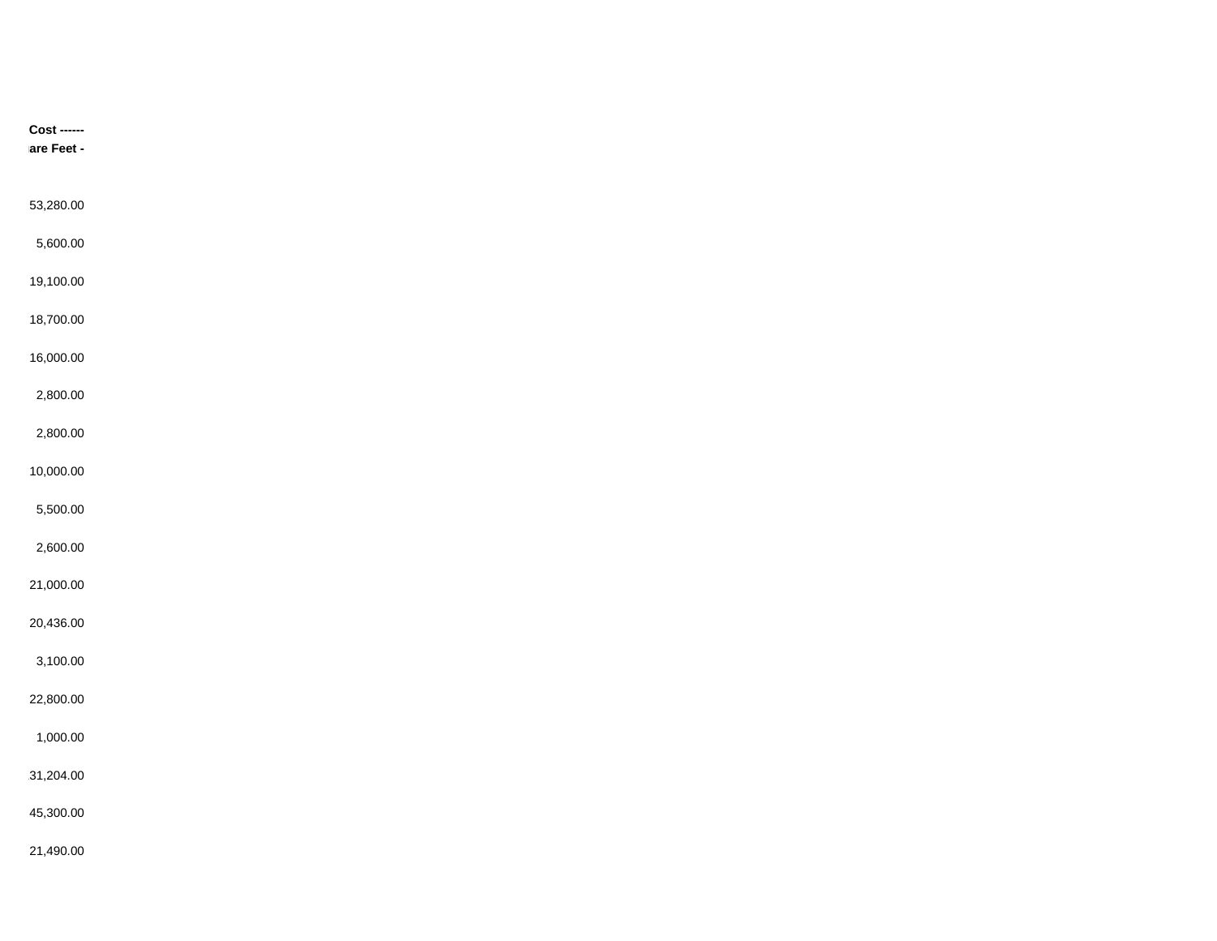| $Cost$ ------<br>are Feet - |  |  |
|-----------------------------|--|--|
|                             |  |  |
| 53,280.00                   |  |  |
| 5,600.00                    |  |  |
|                             |  |  |
| 19,100.00                   |  |  |
| 18,700.00                   |  |  |
| 16,000.00                   |  |  |
| 2,800.00                    |  |  |
| 2,800.00                    |  |  |
| 10,000.00                   |  |  |
| 5,500.00                    |  |  |
|                             |  |  |
| 2,600.00                    |  |  |
| 21,000.00                   |  |  |
| 20,436.00                   |  |  |
| 3,100.00                    |  |  |
| 22,800.00                   |  |  |
| 1,000.00                    |  |  |
|                             |  |  |
| 31,204.00                   |  |  |
| 45,300.00                   |  |  |
| 21,490.00                   |  |  |